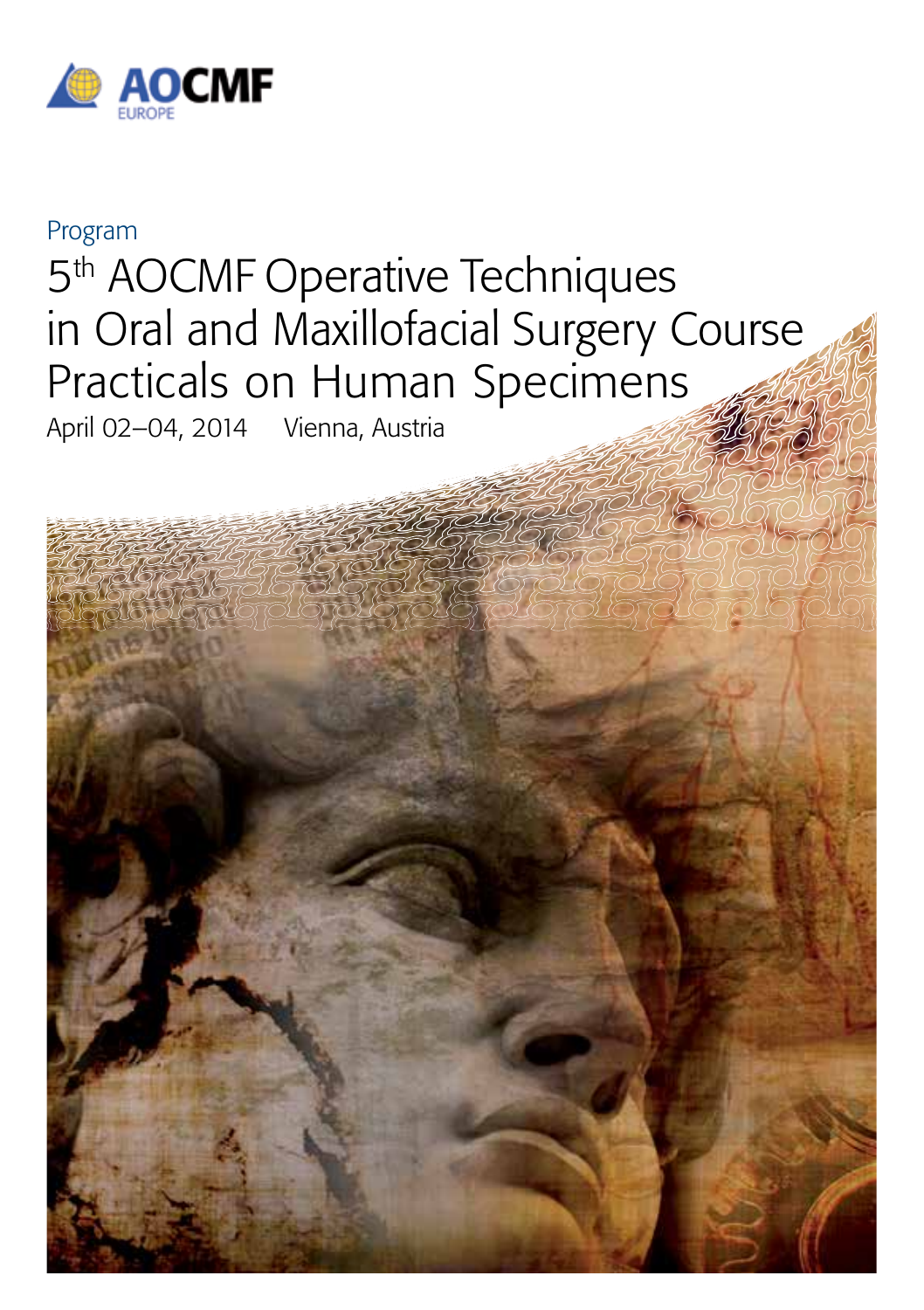

# Program 5<sup>th</sup> AOCMF Operative Techniques in Oral and Maxillofacial Surgery Course Practicals on Human Specimens

April 02–04, 2014 Vienna, Austria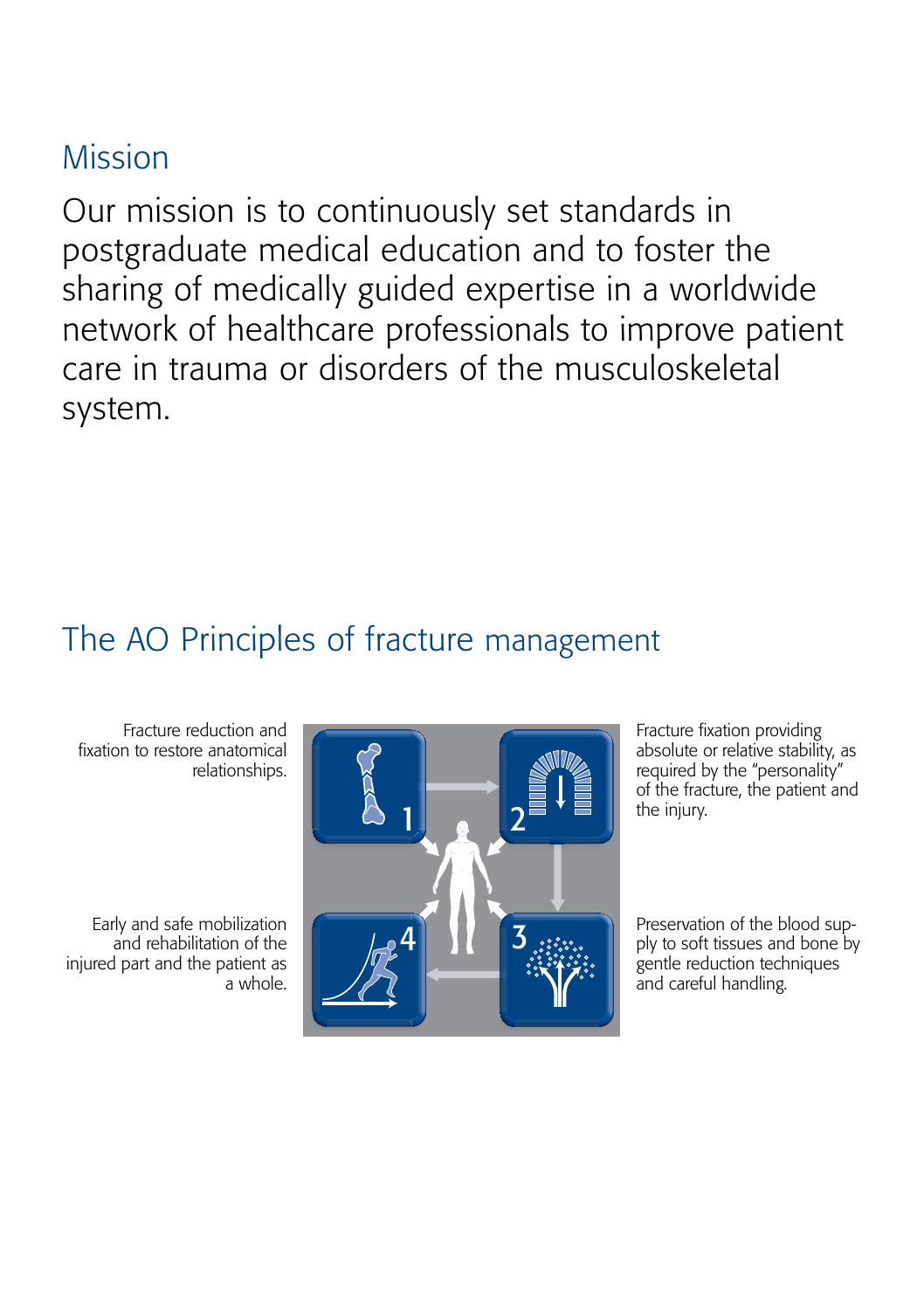## Mission

Our mission is to continuously set standards in postgraduate medical education and to foster the sharing of medically guided expertise in a worldwide network of healthcare professionals to improve patient care in trauma or disorders of the musculoskeletal system.

## The AO Principles of fracture management

Fracture reduction and fixation to restore anatomical relationships.

Early and safe mobilization and rehabilitation of the injured part and the patient as a whole.



Fracture fixation providing absolute or relative stability, as required by the "personality" of the fracture, the patient and the injury.

Preservation of the blood supply to soft tissues and bone by gentle reduction techniques and careful handling.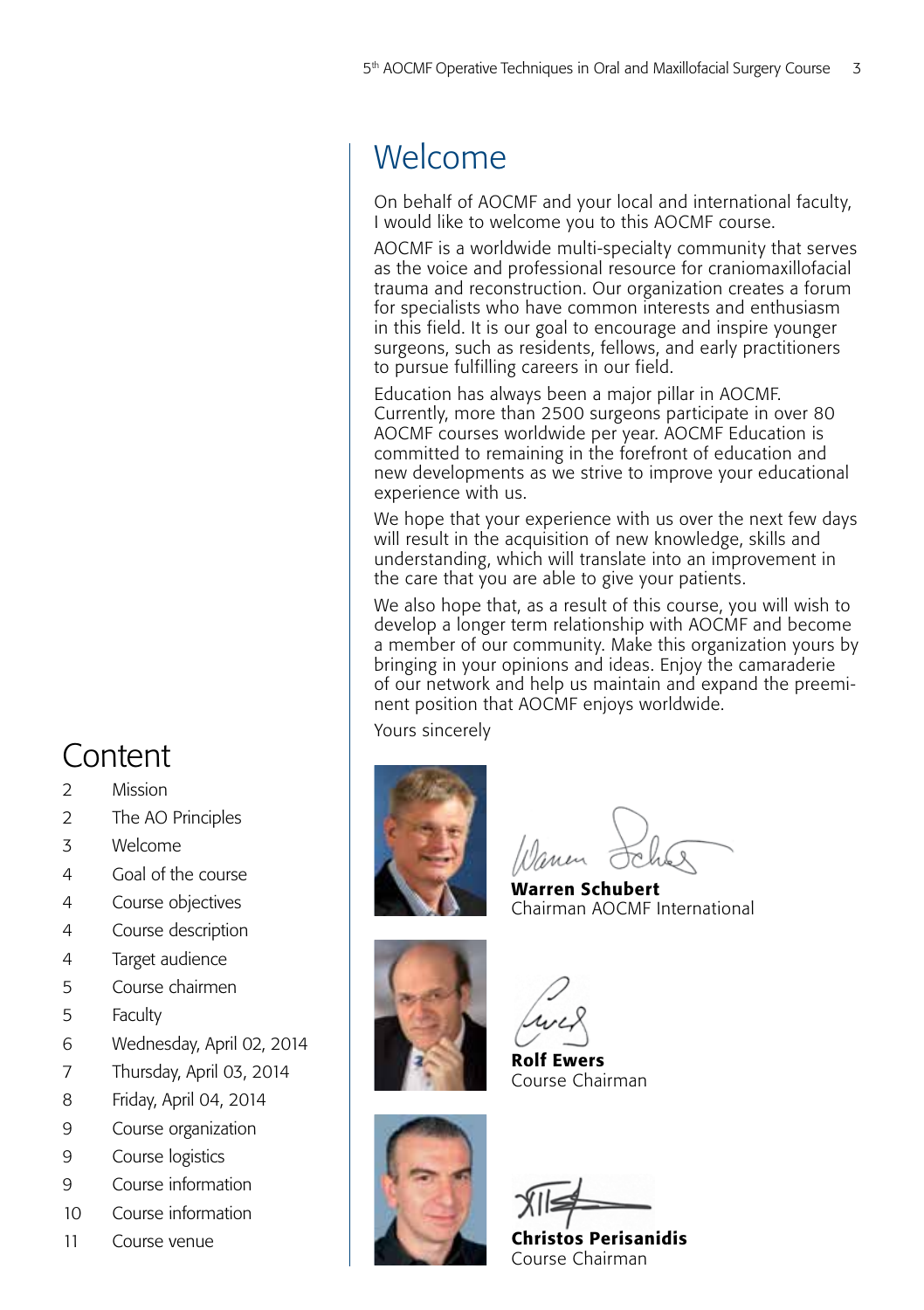## Welcome

On behalf of AOCMF and your local and international faculty, I would like to welcome you to this AOCMF course.

AOCMF is a worldwide multi-specialty community that serves as the voice and professional resource for craniomaxillofacial trauma and reconstruction. Our organization creates a forum for specialists who have common interests and enthusiasm in this field. It is our goal to encourage and inspire younger surgeons, such as residents, fellows, and early practitioners to pursue fulfilling careers in our field.

Education has always been a major pillar in AOCMF. Currently, more than 2500 surgeons participate in over 80 AOCMF courses worldwide per year. AOCMF Education is committed to remaining in the forefront of education and new developments as we strive to improve your educational experience with us.

We hope that your experience with us over the next few days will result in the acquisition of new knowledge, skills and understanding, which will translate into an improvement in the care that you are able to give your patients.

We also hope that, as a result of this course, you will wish to develop a longer term relationship with AOCMF and become a member of our community. Make this organization yours by bringing in your opinions and ideas. Enjoy the camaraderie of our network and help us maintain and expand the preeminent position that AOCMF enjoys worldwide.

Yours sincerely



Warren Schubert Chairman AOCMF International



Rolf Ewers Course Chairman



Christos Perisanidis Course Chairman

## Content

- 2 Mission
- 2 The AO Principles
- 3 Welcome
- 4 Goal of the course
- 4 Course objectives
- 4 Course description
- 4 Target audience
- 5 Course chairmen
- 5 Faculty
- 6 Wednesday, April 02, 2014
- 7 Thursday, April 03, 2014
- 8 Friday, April 04, 2014
- 9 Course organization
- 9 Course logistics
- 9 Course information
- 10 Course information
- 11 Course venue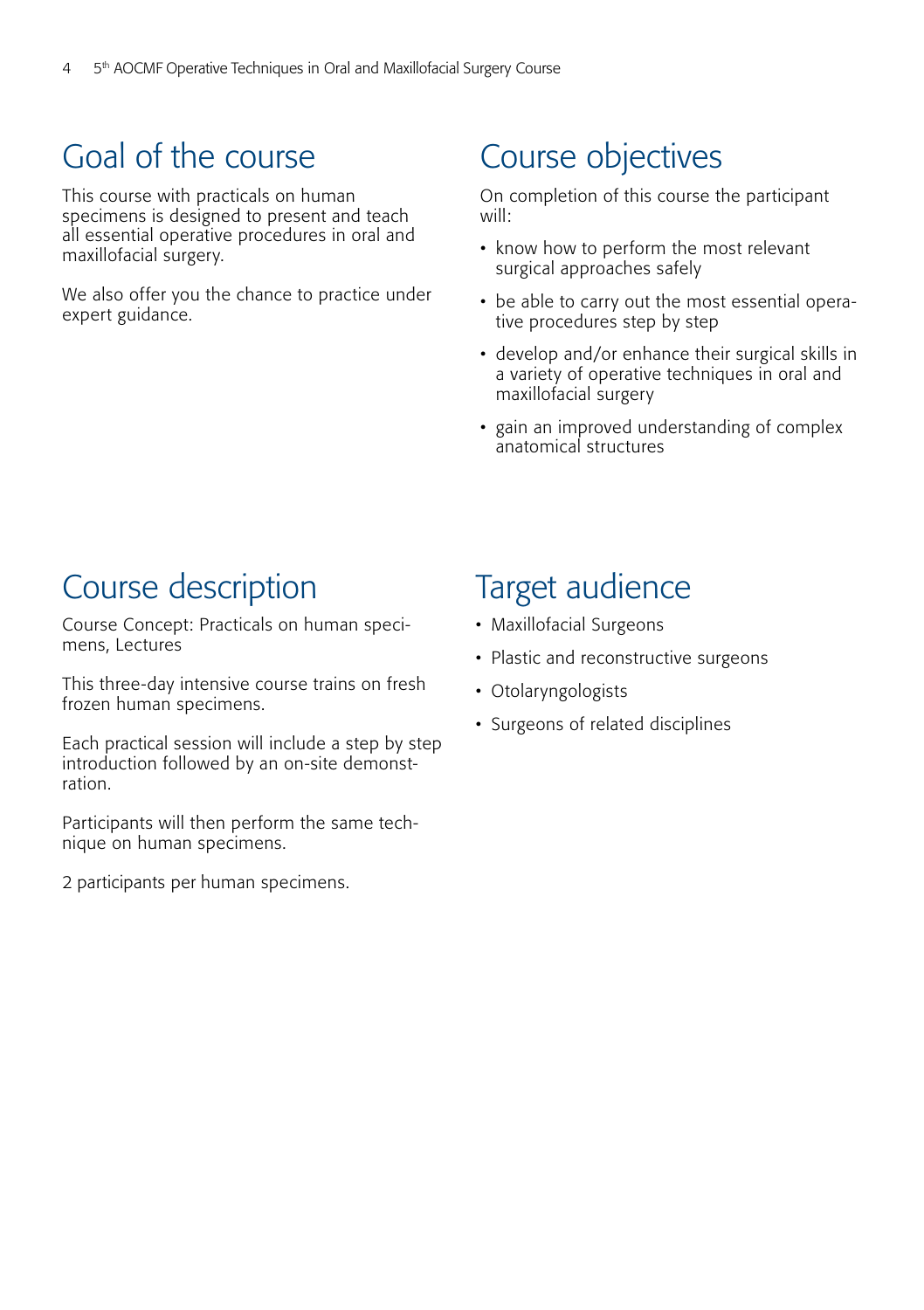## Goal of the course

This course with practicals on human specimens is designed to present and teach all essential operative procedures in oral and maxillofacial surgery.

We also offer you the chance to practice under expert guidance.

## Course objectives

On completion of this course the participant will:

- know how to perform the most relevant surgical approaches safely
- be able to carry out the most essential operative procedures step by step
- develop and/or enhance their surgical skills in a variety of operative techniques in oral and maxillofacial surgery
- gain an improved understanding of complex anatomical structures

### Course description

Course Concept: Practicals on human specimens, Lectures

This three-day intensive course trains on fresh frozen human specimens.

Each practical session will include a step by step introduction followed by an on-site demonstration.

Participants will then perform the same technique on human specimens.

2 participants per human specimens.

### Target audience

- Maxillofacial Surgeons
- Plastic and reconstructive surgeons
- Otolaryngologists
- Surgeons of related disciplines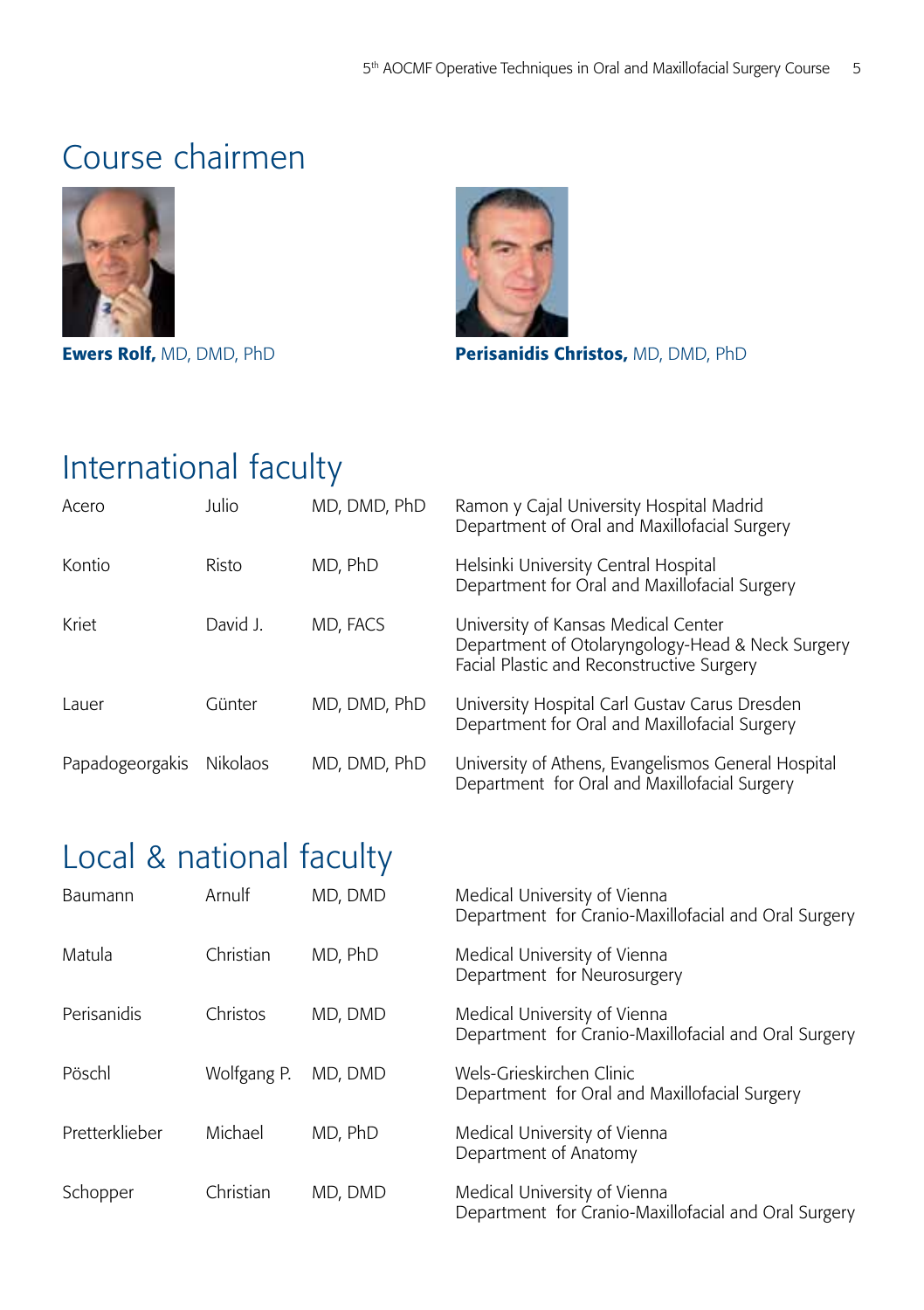### Course chairmen





Ewers Rolf, MD, DMD, PhD Perisanidis Christos, MD, DMD, PhD

## International faculty

| Acero           | Julio           | MD, DMD, PhD | Ramon y Cajal University Hospital Madrid<br>Department of Oral and Maxillofacial Surgery                                             |
|-----------------|-----------------|--------------|--------------------------------------------------------------------------------------------------------------------------------------|
| Kontio          | Risto           | MD, PhD      | Helsinki University Central Hospital<br>Department for Oral and Maxillofacial Surgery                                                |
| Kriet           | David J.        | MD, FACS     | University of Kansas Medical Center<br>Department of Otolaryngology-Head & Neck Surgery<br>Facial Plastic and Reconstructive Surgery |
| Lauer           | Günter          | MD, DMD, PhD | University Hospital Carl Gustav Carus Dresden<br>Department for Oral and Maxillofacial Surgery                                       |
| Papadogeorgakis | <b>Nikolaos</b> | MD, DMD, PhD | University of Athens, Evangelismos General Hospital<br>Department for Oral and Maxillofacial Surgery                                 |

## Local & national faculty

| Baumann        | Arnulf      | MD, DMD | Medical University of Vienna<br>Department for Cranio-Maxillofacial and Oral Surgery |
|----------------|-------------|---------|--------------------------------------------------------------------------------------|
| Matula         | Christian   | MD, PhD | Medical University of Vienna<br>Department for Neurosurgery                          |
| Perisanidis    | Christos    | MD. DMD | Medical University of Vienna<br>Department for Cranio-Maxillofacial and Oral Surgery |
| Pöschl         | Wolfgang P. | MD, DMD | Wels-Grieskirchen Clinic<br>Department for Oral and Maxillofacial Surgery            |
| Pretterklieber | Michael     | MD, PhD | Medical University of Vienna<br>Department of Anatomy                                |
| Schopper       | Christian   | MD, DMD | Medical University of Vienna<br>Department for Cranio-Maxillofacial and Oral Surgery |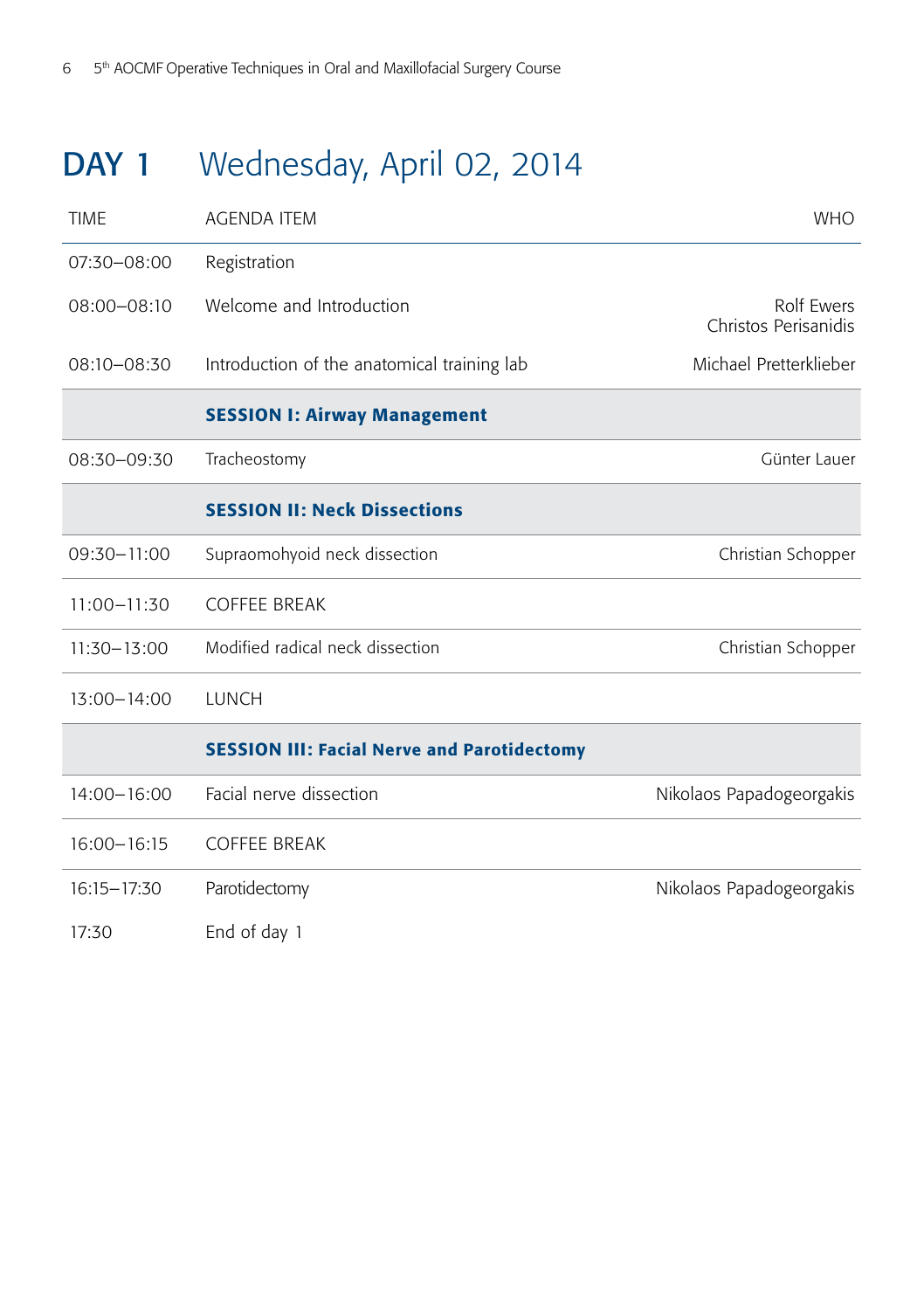## DAY 1 Wednesday, April 02, 2014

| <b>TIME</b>     | <b>AGENDA ITEM</b>                                 | <b>WHO</b>                         |
|-----------------|----------------------------------------------------|------------------------------------|
| 07:30-08:00     | Registration                                       |                                    |
| $08:00 - 08:10$ | Welcome and Introduction                           | Rolf Ewers<br>Christos Perisanidis |
| 08:10-08:30     | Introduction of the anatomical training lab        | Michael Pretterklieber             |
|                 | <b>SESSION I: Airway Management</b>                |                                    |
| 08:30-09:30     | Tracheostomy                                       | Günter Lauer                       |
|                 | <b>SESSION II: Neck Dissections</b>                |                                    |
| 09:30-11:00     | Supraomohyoid neck dissection                      | Christian Schopper                 |
| $11:00 - 11:30$ | <b>COFFEE BREAK</b>                                |                                    |
| $11:30 - 13:00$ | Modified radical neck dissection                   | Christian Schopper                 |
| $13:00 - 14:00$ | <b>LUNCH</b>                                       |                                    |
|                 | <b>SESSION III: Facial Nerve and Parotidectomy</b> |                                    |
| $14:00 - 16:00$ | Facial nerve dissection                            | Nikolaos Papadogeorgakis           |
| $16:00 - 16:15$ | <b>COFFEE BREAK</b>                                |                                    |
| 16:15-17:30     | Parotidectomy                                      | Nikolaos Papadogeorgakis           |
| 17:30           | End of day 1                                       |                                    |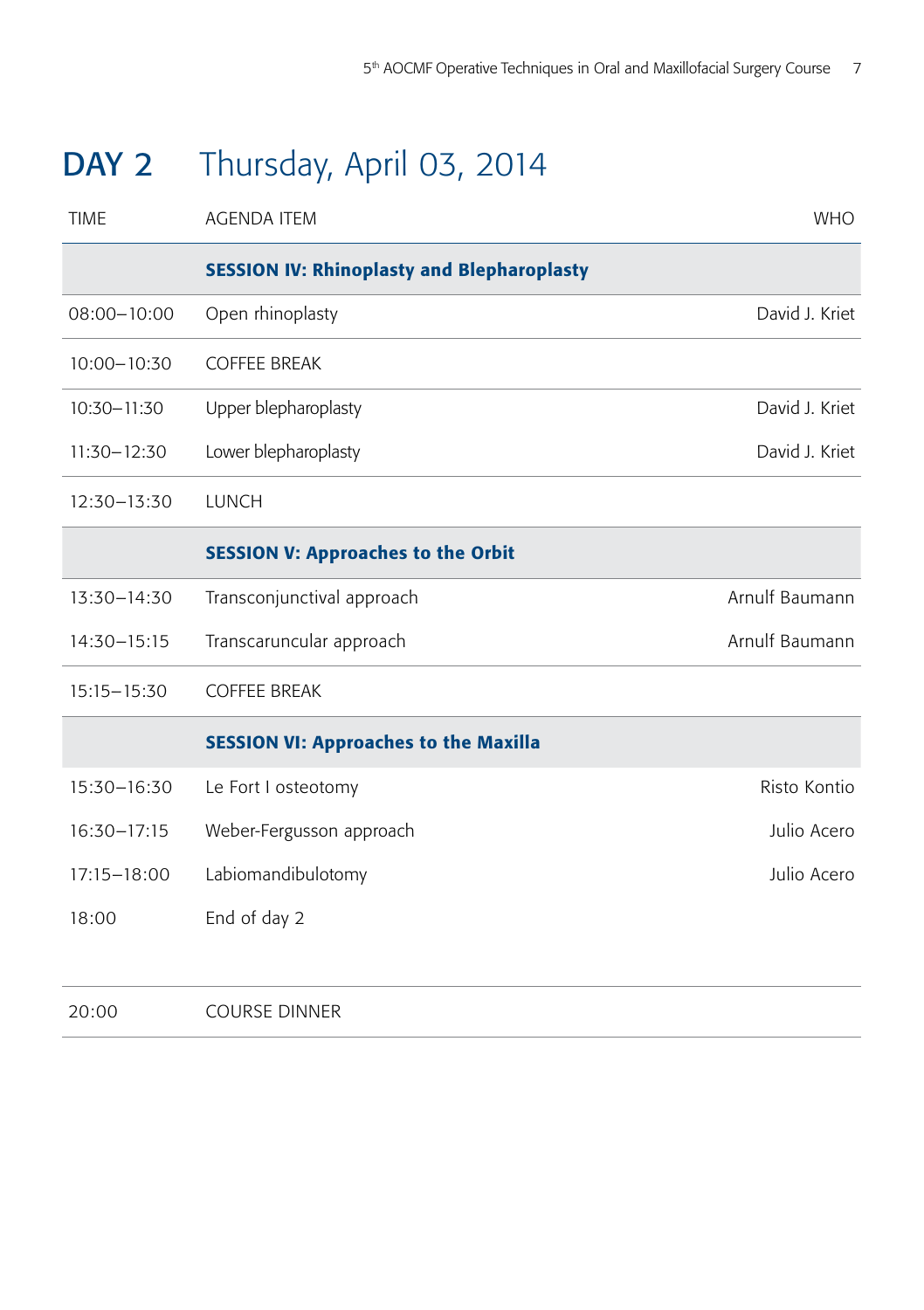## DAY 2 Thursday, April 03, 2014

| <b>TIME</b>     | <b>AGENDA ITEM</b>                                | <b>WHO</b>     |
|-----------------|---------------------------------------------------|----------------|
|                 | <b>SESSION IV: Rhinoplasty and Blepharoplasty</b> |                |
| $08:00 - 10:00$ | Open rhinoplasty                                  | David J. Kriet |
| $10:00 - 10:30$ | <b>COFFEE BREAK</b>                               |                |
| 10:30-11:30     | Upper blepharoplasty                              | David J. Kriet |
| 11:30-12:30     | Lower blepharoplasty                              | David J. Kriet |
| 12:30-13:30     | <b>LUNCH</b>                                      |                |
|                 | <b>SESSION V: Approaches to the Orbit</b>         |                |
| 13:30-14:30     | Transconjunctival approach                        | Arnulf Baumann |
| 14:30-15:15     | Transcaruncular approach                          | Arnulf Baumann |
| $15:15 - 15:30$ | <b>COFFEE BREAK</b>                               |                |
|                 | <b>SESSION VI: Approaches to the Maxilla</b>      |                |
| 15:30-16:30     | Le Fort I osteotomy                               | Risto Kontio   |
| 16:30-17:15     | Weber-Fergusson approach                          | Julio Acero    |
| 17:15-18:00     | Labiomandibulotomy                                | Julio Acero    |
| 18:00           | End of day 2                                      |                |
|                 |                                                   |                |
| 20:00           | <b>COURSE DINNER</b>                              |                |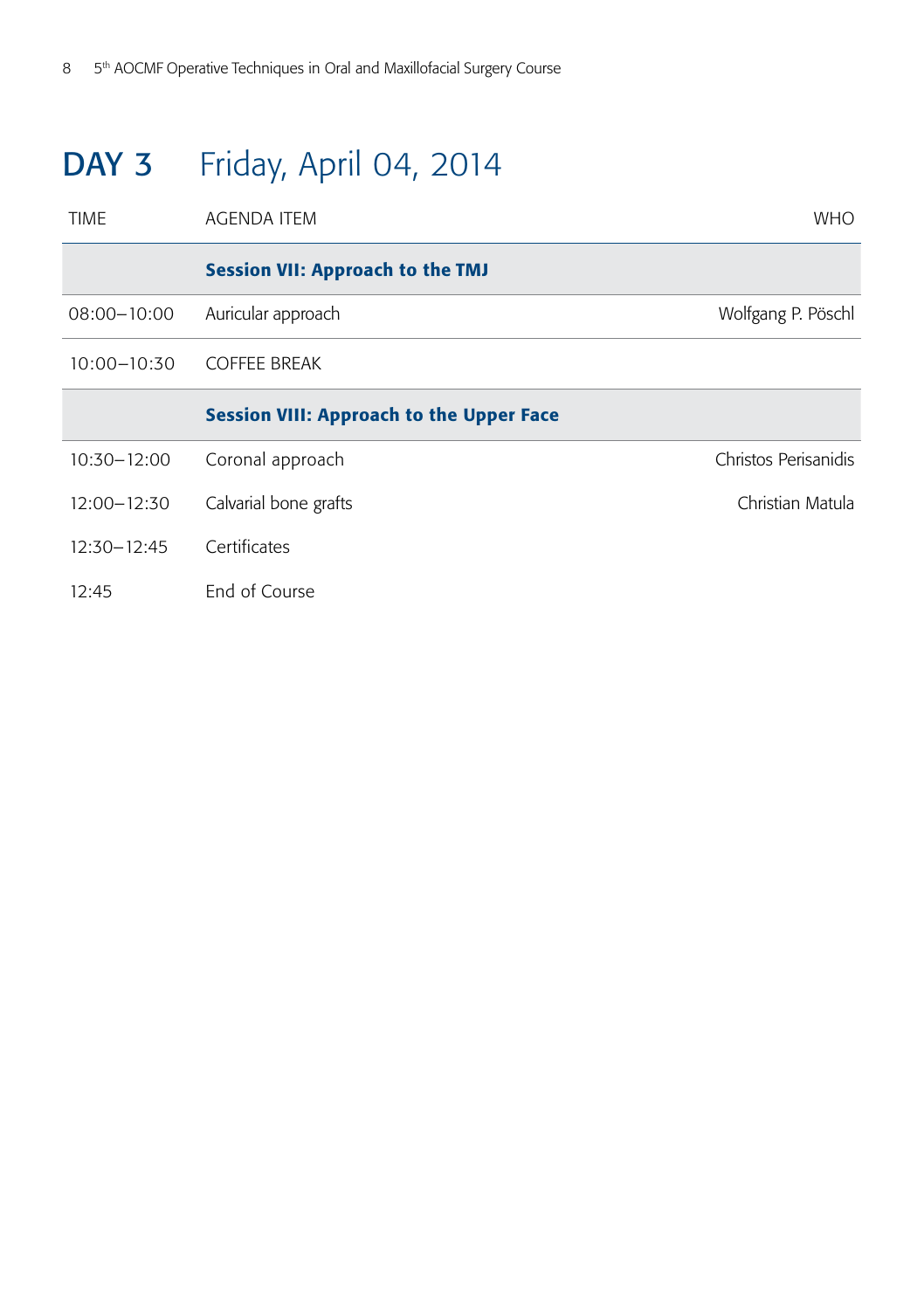## DAY 3 Friday, April 04, 2014

| <b>TIME</b>     | AGENDA ITEM                                     | <b>WHO</b>           |
|-----------------|-------------------------------------------------|----------------------|
|                 | <b>Session VII: Approach to the TMJ</b>         |                      |
| $08:00 - 10:00$ | Auricular approach                              | Wolfgang P. Pöschl   |
| 10:00-10:30     | <b>COFFEE BREAK</b>                             |                      |
|                 | <b>Session VIII: Approach to the Upper Face</b> |                      |
| 10:30-12:00     | Coronal approach                                | Christos Perisanidis |
| 12:00-12:30     | Calvarial bone grafts                           | Christian Matula     |
| $12:30 - 12:45$ | Certificates                                    |                      |
| 12:45           | End of Course                                   |                      |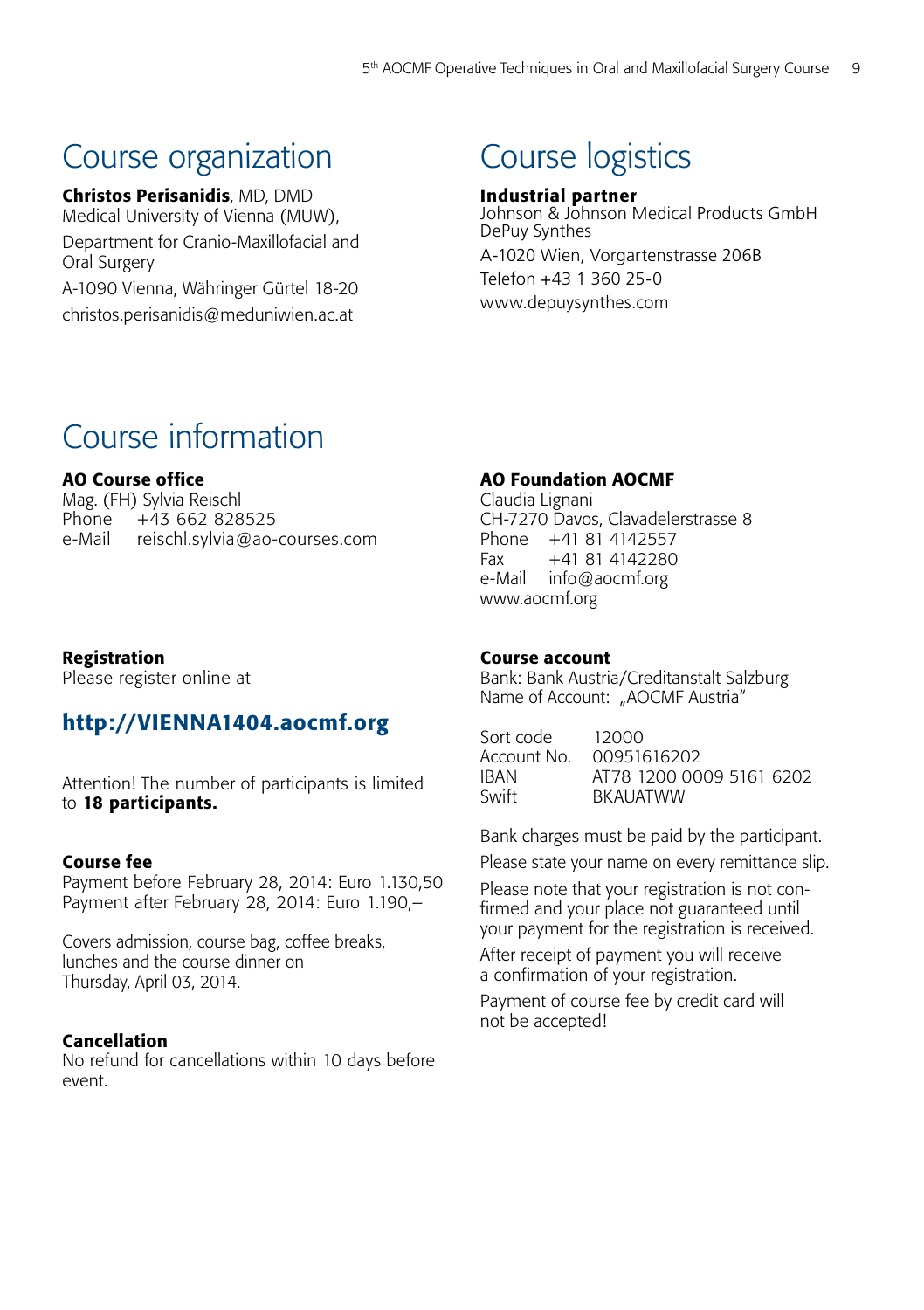### Course organization

Christos Perisanidis, MD, DMD Medical University of Vienna (MUW), Department for Cranio-Maxillofacial and Oral Surgery A-1090 Vienna, Währinger Gürtel 18-20

christos.perisanidis@meduniwien.ac.at

### Course logistics

#### Industrial partner

Johnson & Johnson Medical Products GmbH DePuy Synthes A-1020 Wien, Vorgartenstrasse 206B Telefon +43 1 360 25-0 www.depuysynthes.com

### Course information

#### AO Course office

Mag. (FH) Sylvia Reischl Phone +43 662 828525 e-Mail reischl.sylvia@ao-courses.com

#### Registration

Please register online at

#### http://VIENNA1404.aocmf.org

Attention! The number of participants is limited to 18 participants.

#### Course fee

Payment before February 28, 2014: Euro 1.130,50 Payment after February 28, 2014: Euro 1.190,–

Covers admission, course bag, coffee breaks, lunches and the course dinner on Thursday, April 03, 2014.

#### Cancellation

No refund for cancellations within 10 days before event.

#### AO Foundation AOCMF

Claudia Lignani CH-7270 Davos, Clavadelerstrasse 8 Phone +41 81 4142557 Fax +41 81 4142280 e-Mail info@aocmf.org www.aocmf.org

#### Course account

Bank: Bank Austria/Creditanstalt Salzburg Name of Account: "AOCMF Austria"

| Sort code   | 12000                    |
|-------------|--------------------------|
| Account No. | 00951616202              |
| IBAN        | AT78 1200 0009 5161 6202 |
| Swift       | BKAUATWW                 |
|             |                          |

Bank charges must be paid by the participant.

Please state your name on every remittance slip.

Please note that your registration is not confirmed and your place not guaranteed until your payment for the registration is received.

After receipt of payment you will receive a confirmation of your registration.

Payment of course fee by credit card will not be accepted!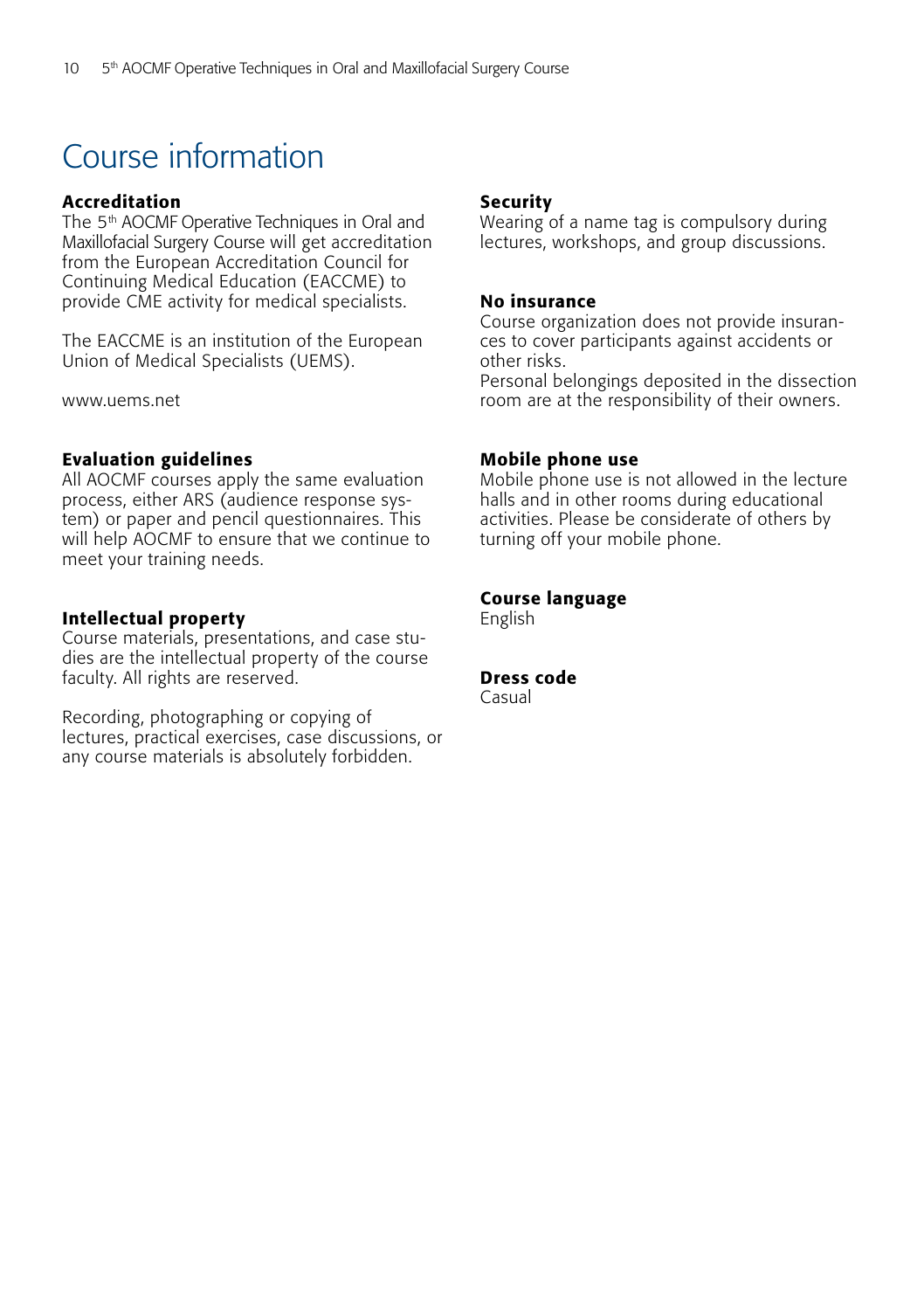## Course information

#### Accreditation

The 5<sup>th</sup> AOCMF Operative Techniques in Oral and Maxillofacial Surgery Course will get accreditation from the European Accreditation Council for Continuing Medical Education (EACCME) to provide CME activity for medical specialists.

The EACCME is an institution of the European Union of Medical Specialists (UEMS).

www.uems.net

#### Evaluation guidelines

All AOCMF courses apply the same evaluation process, either ARS (audience response system) or paper and pencil questionnaires. This will help AOCMF to ensure that we continue to meet your training needs.

#### Intellectual property

Course materials, presentations, and case studies are the intellectual property of the course faculty. All rights are reserved.

Recording, photographing or copying of lectures, practical exercises, case discussions, or any course materials is absolutely forbidden.

#### Security

Wearing of a name tag is compulsory during lectures, workshops, and group discussions.

#### No insurance

Course organization does not provide insurances to cover participants against accidents or other risks.

Personal belongings deposited in the dissection room are at the responsibility of their owners.

#### Mobile phone use

Mobile phone use is not allowed in the lecture halls and in other rooms during educational activities. Please be considerate of others by turning off your mobile phone.

#### Course language

English

#### Dress code

Casual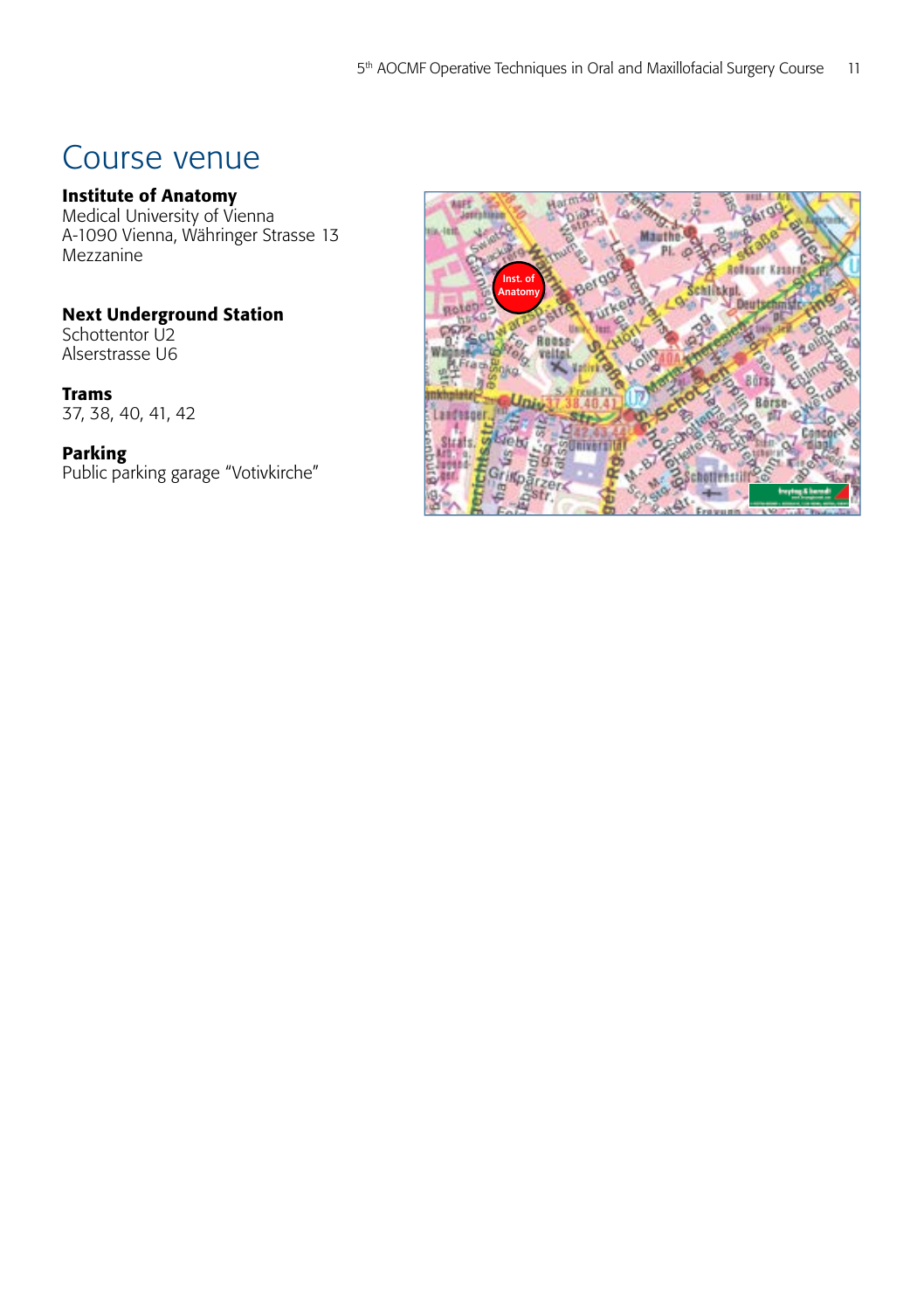### Course venue

#### Institute of Anatomy

Medical University of Vienna A-1090 Vienna, Währinger Strasse 13 Mezzanine

#### Next Underground Station

Schottentor U2 Alserstrasse U6

#### Trams

37, 38, 40, 41, 42

#### Parking

Public parking garage "Votivkirche"